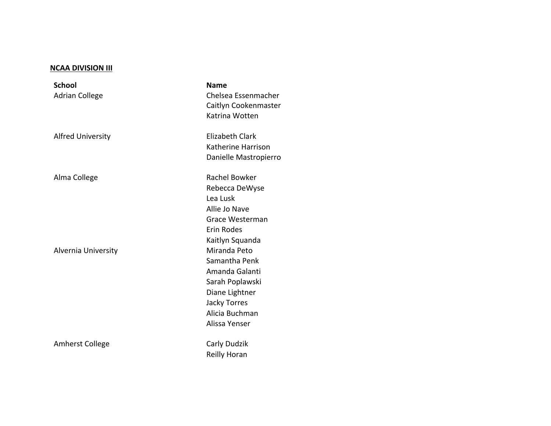## **NCAA DIVISION III**

**School** Adrian College

Alvernia University **Miranda** Peto

Amherst College Carly Dudzik

**Name** Chelsea Essenmacher Caitlyn Cookenmaster Katrina Wotten Alfred University **Elizabeth Clark** Katherine Harrison Danielle Mastropierro Alma College **Rachel Bowker** Rachel Bowker Rebecca DeWyse Lea Lusk Allie Jo Nave Grace Westerman Erin Rodes Kaitlyn Squanda Samantha Penk Amanda Galanti Sarah Poplawski Diane Lightner Jacky Torres Alicia Buchman Alissa Yenser

Reilly Horan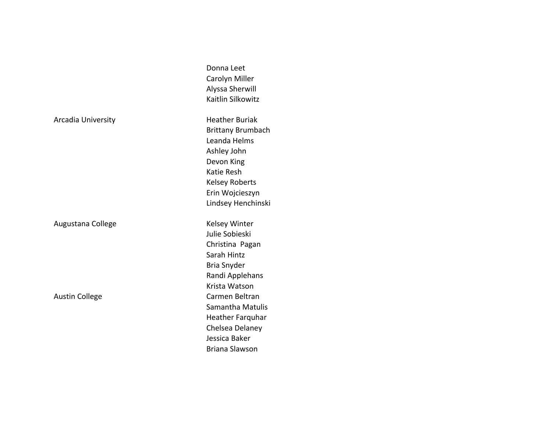|                       | Donna Leet               |  |
|-----------------------|--------------------------|--|
|                       | Carolyn Miller           |  |
|                       | Alyssa Sherwill          |  |
|                       | Kaitlin Silkowitz        |  |
| Arcadia University    | <b>Heather Buriak</b>    |  |
|                       | <b>Brittany Brumbach</b> |  |
|                       | Leanda Helms             |  |
|                       | Ashley John              |  |
|                       | Devon King               |  |
|                       | Katie Resh               |  |
|                       | <b>Kelsey Roberts</b>    |  |
|                       | Erin Wojcieszyn          |  |
|                       | Lindsey Henchinski       |  |
| Augustana College     | <b>Kelsey Winter</b>     |  |
|                       | Julie Sobieski           |  |
|                       | Christina Pagan          |  |
|                       | Sarah Hintz              |  |
|                       | Bria Snyder              |  |
|                       | Randi Applehans          |  |
|                       | Krista Watson            |  |
| <b>Austin College</b> | Carmen Beltran           |  |
|                       | Samantha Matulis         |  |
|                       | Heather Farquhar         |  |
|                       | Chelsea Delaney          |  |
|                       | Jessica Baker            |  |
|                       | <b>Briana Slawson</b>    |  |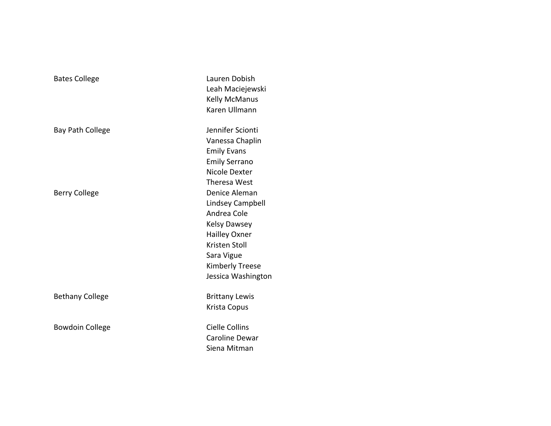| <b>Bates College</b>    | Lauren Dobish<br>Leah Maciejewski<br><b>Kelly McManus</b><br>Karen Ullmann                                                                                                     |
|-------------------------|--------------------------------------------------------------------------------------------------------------------------------------------------------------------------------|
| <b>Bay Path College</b> | Jennifer Scionti<br>Vanessa Chaplin<br><b>Emily Evans</b><br><b>Emily Serrano</b><br>Nicole Dexter<br>Theresa West                                                             |
| <b>Berry College</b>    | Denice Aleman<br>Lindsey Campbell<br>Andrea Cole<br><b>Kelsy Dawsey</b><br>Hailley Oxner<br><b>Kristen Stoll</b><br>Sara Vigue<br><b>Kimberly Treese</b><br>Jessica Washington |
| <b>Bethany College</b>  | <b>Brittany Lewis</b><br>Krista Copus                                                                                                                                          |
| <b>Bowdoin College</b>  | <b>Cielle Collins</b><br>Caroline Dewar<br>Siena Mitman                                                                                                                        |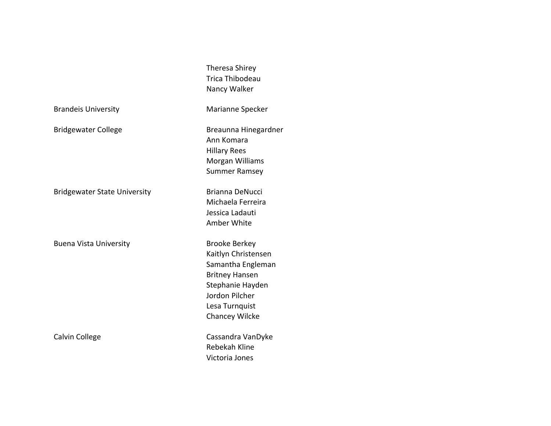Theresa Shirey Trica Thibodeau Nancy Walker

Brandeis University **Marianne** Specker

Bridgewater College **Breaunna** Hinegardner

Bridgewater State University **Brianna DeNucci** 

Buena Vista University **Brooke Berkey** 

Ann Komara Hillary Rees Morgan Williams Summer Ramsey

Michaela Ferreira Jessica Ladauti Amber White

Kaitlyn Christensen Samantha Engleman Britney Hansen Stephanie Hayden Jordon Pilcher Lesa Turnquist Chancey Wilcke

Calvin College **Cassandra** VanDyke Rebekah Kline Victoria Jones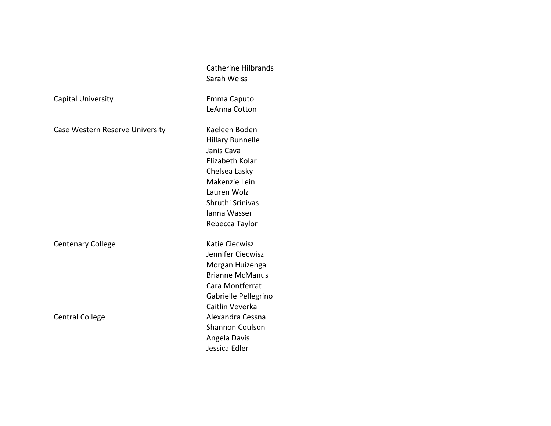|                                 | <b>Catherine Hilbrands</b><br>Sarah Weiss |
|---------------------------------|-------------------------------------------|
| Capital University              | Emma Caputo                               |
|                                 | LeAnna Cotton                             |
| Case Western Reserve University | Kaeleen Boden                             |
|                                 | <b>Hillary Bunnelle</b>                   |
|                                 | Janis Cava                                |
|                                 | Elizabeth Kolar                           |
|                                 | Chelsea Lasky                             |
|                                 | Makenzie Lein                             |
|                                 | Lauren Wolz                               |
|                                 | Shruthi Srinivas                          |
|                                 | Janna Wasser                              |
|                                 | Rebecca Taylor                            |
| <b>Centenary College</b>        | Katie Ciecwisz                            |
|                                 | Jennifer Ciecwisz                         |
|                                 | Morgan Huizenga                           |
|                                 | <b>Brianne McManus</b>                    |
|                                 | Cara Montferrat                           |
|                                 | Gabrielle Pellegrino                      |
|                                 | Caitlin Veverka                           |
| <b>Central College</b>          | Alexandra Cessna                          |
|                                 | <b>Shannon Coulson</b>                    |
|                                 | Angela Davis                              |

Morgan Huizenga Brianne McManus Cara Montferrat Gabrielle Pellegrino Caitlin Veverka Alexandra Cessna Shannon Coulson Angela Davis Jessica Edler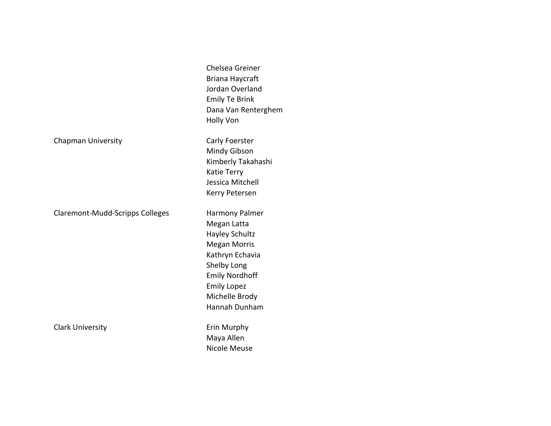|                                 | Chelsea Greiner<br>Briana Haycraft<br>Jordan Overland<br><b>Emily Te Brink</b><br>Dana Van Renterghem<br><b>Holly Von</b>                                                                  |
|---------------------------------|--------------------------------------------------------------------------------------------------------------------------------------------------------------------------------------------|
| <b>Chapman University</b>       | Carly Foerster<br>Mindy Gibson<br>Kimberly Takahashi<br>Katie Terry<br>Jessica Mitchell<br>Kerry Petersen                                                                                  |
| Claremont-Mudd-Scripps Colleges | Harmony Palmer<br>Megan Latta<br>Hayley Schultz<br><b>Megan Morris</b><br>Kathryn Echavia<br>Shelby Long<br><b>Emily Nordhoff</b><br><b>Emily Lopez</b><br>Michelle Brody<br>Hannah Dunham |
| <b>Clark University</b>         | Erin Murphy<br>Maya Allen<br>Nicole Meuse                                                                                                                                                  |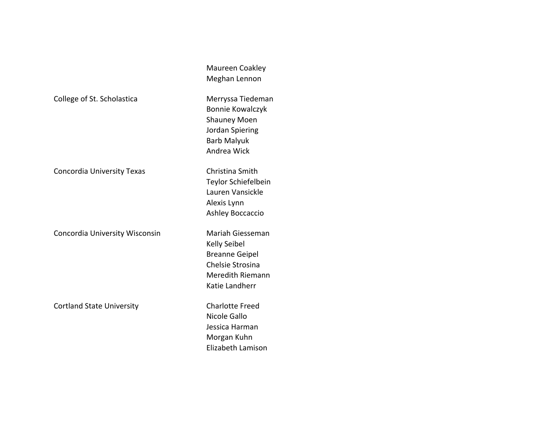|                                  | Meghan Lennon                                                                                                               |
|----------------------------------|-----------------------------------------------------------------------------------------------------------------------------|
| College of St. Scholastica       | Merryssa Tiedeman<br><b>Bonnie Kowalczyk</b><br><b>Shauney Moen</b><br>Jordan Spiering<br><b>Barb Malyuk</b><br>Andrea Wick |
| Concordia University Texas       | Christina Smith<br>Teylor Schiefelbein<br>Lauren Vansickle<br>Alexis Lynn<br>Ashley Boccaccio                               |
| Concordia University Wisconsin   | Mariah Giesseman<br>Kelly Seibel<br><b>Breanne Geipel</b><br>Chelsie Strosina<br>Meredith Riemann<br>Katie Landherr         |
| <b>Cortland State University</b> | <b>Charlotte Freed</b><br>Nicole Gallo<br>Jessica Harman<br>Morgan Kuhn<br>Elizabeth Lamison                                |

Maureen Coakley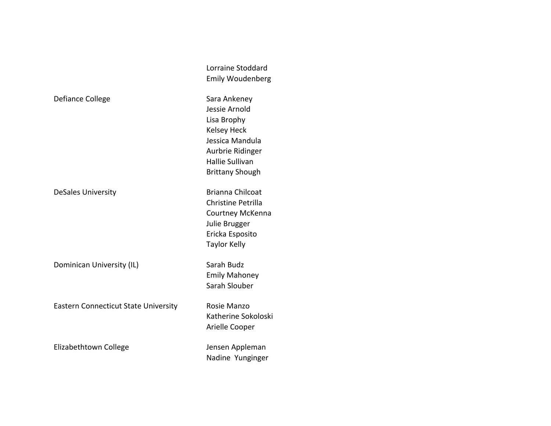|                                             | Lorraine Stoddard<br><b>Emily Woudenberg</b>                                                                                                           |
|---------------------------------------------|--------------------------------------------------------------------------------------------------------------------------------------------------------|
| Defiance College                            | Sara Ankeney<br>Jessie Arnold<br>Lisa Brophy<br><b>Kelsey Heck</b><br>Jessica Mandula<br>Aurbrie Ridinger<br>Hallie Sullivan<br><b>Brittany Shough</b> |
| <b>DeSales University</b>                   | <b>Brianna Chilcoat</b><br>Christine Petrilla<br>Courtney McKenna<br>Julie Brugger<br>Ericka Esposito<br><b>Taylor Kelly</b>                           |
| Dominican University (IL)                   | Sarah Budz<br><b>Emily Mahoney</b><br>Sarah Slouber                                                                                                    |
| <b>Eastern Connecticut State University</b> | Rosie Manzo<br>Katherine Sokoloski<br>Arielle Cooper                                                                                                   |
| Elizabethtown College                       | Jensen Appleman<br>Nadine Yunginger                                                                                                                    |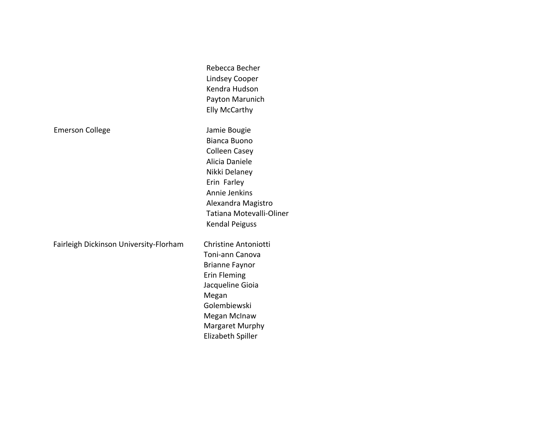|                                        | Rebecca Becher              |
|----------------------------------------|-----------------------------|
|                                        | <b>Lindsey Cooper</b>       |
|                                        | Kendra Hudson               |
|                                        | Payton Marunich             |
|                                        | <b>Elly McCarthy</b>        |
| <b>Emerson College</b>                 | Jamie Bougie                |
|                                        | <b>Bianca Buono</b>         |
|                                        | <b>Colleen Casey</b>        |
|                                        | Alicia Daniele              |
|                                        | Nikki Delaney               |
|                                        | Erin Farley                 |
|                                        | Annie Jenkins               |
|                                        | Alexandra Magistro          |
|                                        | Tatiana Motevalli-Oliner    |
|                                        | <b>Kendal Peiguss</b>       |
| Fairleigh Dickinson University-Florham | <b>Christine Antoniotti</b> |
|                                        | Toni-ann Canova             |
|                                        | <b>Brianne Faynor</b>       |
|                                        | <b>Erin Fleming</b>         |
|                                        | Jacqueline Gioia            |
|                                        | Megan                       |
|                                        | Golembiewski                |
|                                        | Megan McInaw                |
|                                        | Margaret Murphy             |
|                                        | Elizabeth Spiller           |
|                                        |                             |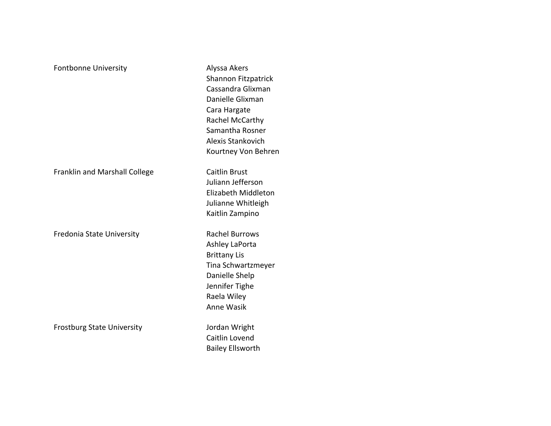| <b>Fontbonne University</b>       | Alyssa Akers<br>Shannon Fitzpatrick<br>Cassandra Glixman<br>Danielle Glixman<br>Cara Hargate<br>Rachel McCarthy<br>Samantha Rosner<br>Alexis Stankovich<br>Kourtney Von Behren |
|-----------------------------------|--------------------------------------------------------------------------------------------------------------------------------------------------------------------------------|
| Franklin and Marshall College     | <b>Caitlin Brust</b><br>Juliann Jefferson<br>Elizabeth Middleton<br>Julianne Whitleigh<br>Kaitlin Zampino                                                                      |
| Fredonia State University         | <b>Rachel Burrows</b><br>Ashley LaPorta<br><b>Brittany Lis</b><br>Tina Schwartzmeyer<br>Danielle Shelp<br>Jennifer Tighe<br>Raela Wiley<br>Anne Wasik                          |
| <b>Frostburg State University</b> | Jordan Wright<br>Caitlin Lovend<br><b>Bailey Ellsworth</b>                                                                                                                     |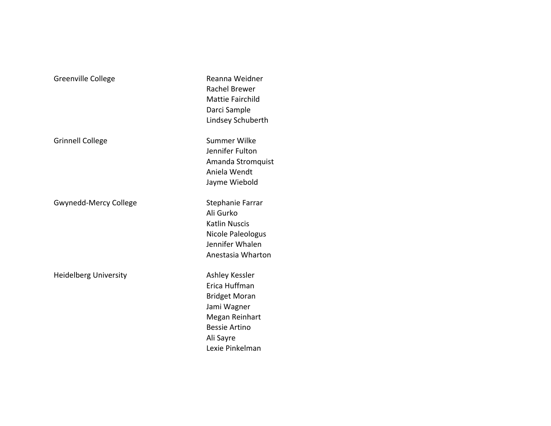Grinnell College **Summer Wilke** Summer Wilke

Gwynedd-Mercy College Stephanie Farrar

Heidelberg University **Ashley Kessler** 

Greenville College **Reanna** Weidner Rachel Brewer Mattie Fairchild Darci Sample Lindsey Schuberth

> Jennifer Fulton Amanda Stromquist Aniela Wendt Jayme Wiebold

Ali Gurko Katlin Nuscis Nicole Paleologus Jennifer Whalen Anestasia Wharton

Erica Huffman Bridget Moran Jami Wagner Megan Reinhart Bessie Artino Ali Sayre Lexie Pinkelman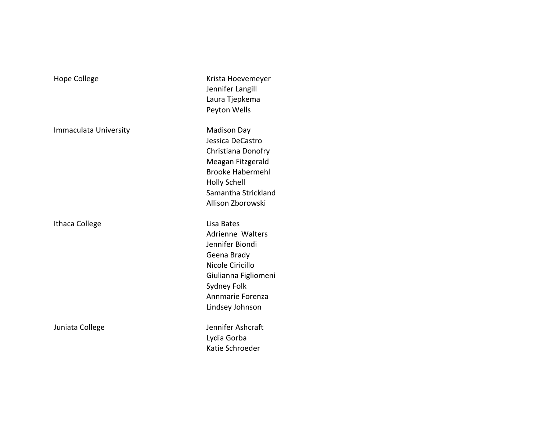| Hope College          | Krista Hoevemeyer<br>Jennifer Langill<br>Laura Tjepkema<br>Peyton Wells                                                                                                        |
|-----------------------|--------------------------------------------------------------------------------------------------------------------------------------------------------------------------------|
| Immaculata University | <b>Madison Day</b><br>Jessica DeCastro<br>Christiana Donofry<br>Meagan Fitzgerald<br><b>Brooke Habermehl</b><br><b>Holly Schell</b><br>Samantha Stricklan<br>Allison Zborowski |
| Ithaca College        | Lisa Bates<br>Adrienne Walters<br>Jennifer Biondi<br>Geena Brady<br>Nicole Ciricillo<br>Giulianna Figliomer<br>Sydney Folk<br>Annmarie Forenza<br>Lindsey Johnson              |

tro าofry erald mehl ickland wski

**Iters** Jennifer Biondi iomeni enza on

Juniata College **Juniata** College **Juniata** College Lydia Gorba Katie Schroeder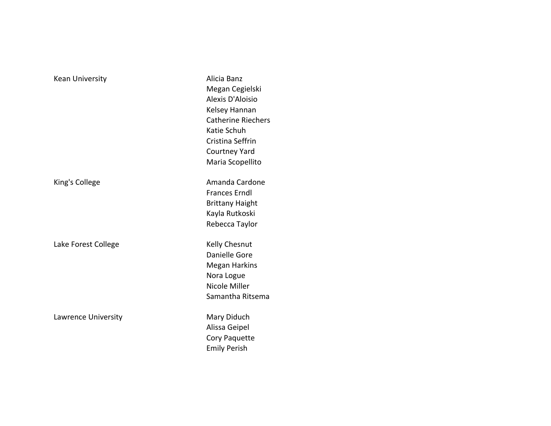Kean University **Alicia Banz** 

Lake Forest College **Kelly Chesnut** 

Lawrence University **Mary Diduch** 

Megan Cegielski Alexis D'Aloisio Kelsey Hannan Catherine Riechers Katie Schuh Cristina Seffrin Courtney Yard Maria Scopellito King's College **Amanda** Cardone Frances Erndl Brittany Haight Kayla Rutkoski Rebecca Taylor Danielle Gore Megan Harkins Nora Logue Nicole Miller Samantha Ritsema

Alissa Geipel Cory Paquette Emily Perish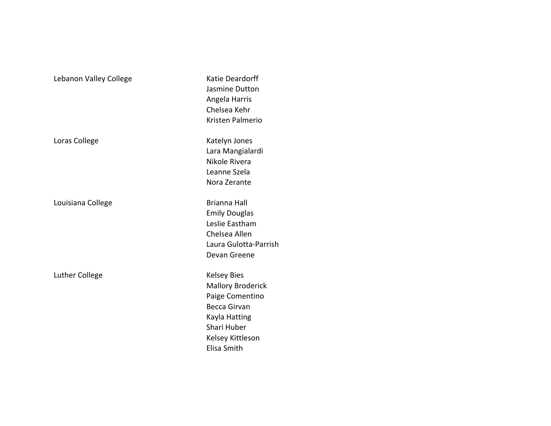| Lebanon Valley College | Katie Deardorff<br>Jasmine Dutton<br>Angela Harris<br>Chelsea Kehr<br>Kristen Palmerio                                                                      |
|------------------------|-------------------------------------------------------------------------------------------------------------------------------------------------------------|
| Loras College          | Katelyn Jones<br>Lara Mangialardi<br>Nikole Rivera<br>Leanne Szela<br>Nora Zerante                                                                          |
| Louisiana College      | <b>Brianna Hall</b><br><b>Emily Douglas</b><br>Leslie Eastham<br>Chelsea Allen<br>Laura Gulotta-Parrish<br>Devan Greene                                     |
| <b>Luther College</b>  | <b>Kelsey Bies</b><br><b>Mallory Broderick</b><br>Paige Comentino<br><b>Becca Girvan</b><br>Kayla Hatting<br>Shari Huber<br>Kelsey Kittleson<br>Elisa Smith |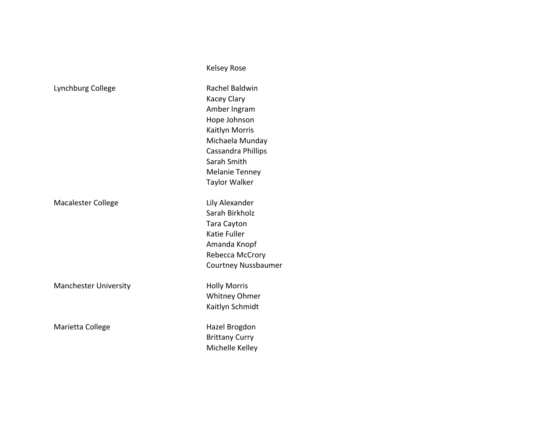|                              | <b>Kelsey Rose</b>         |
|------------------------------|----------------------------|
| Lynchburg College            | Rachel Baldwin             |
|                              | Kacey Clary                |
|                              | Amber Ingram               |
|                              | Hope Johnson               |
|                              | Kaitlyn Morris             |
|                              | Michaela Munday            |
|                              | Cassandra Phillips         |
|                              | Sarah Smith                |
|                              | <b>Melanie Tenney</b>      |
|                              | Taylor Walker              |
| Macalester College           | Lily Alexander             |
|                              | Sarah Birkholz             |
|                              | <b>Tara Cayton</b>         |
|                              | Katie Fuller               |
|                              | Amanda Knopf               |
|                              | Rebecca McCrory            |
|                              | <b>Courtney Nussbaumer</b> |
| <b>Manchester University</b> | <b>Holly Morris</b>        |
|                              | <b>Whitney Ohmer</b>       |
|                              | Kaitlyn Schmidt            |
| Marietta College             | Hazel Brogdon              |
|                              | <b>Brittany Curry</b>      |
|                              | Michelle Kelley            |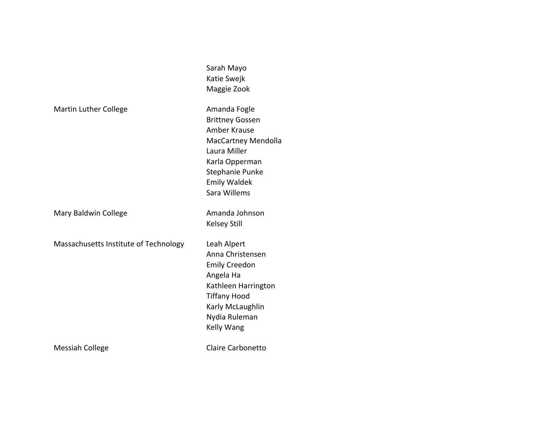|                                       | Sarah Mayo<br>Katie Swejk<br>Maggie Zook                                                                                                                              |
|---------------------------------------|-----------------------------------------------------------------------------------------------------------------------------------------------------------------------|
| Martin Luther College                 | Amanda Fogle<br><b>Brittney Gossen</b><br>Amber Krause<br>MacCartney Mendolla<br>Laura Miller<br>Karla Opperman<br>Stephanie Punke<br>Emily Waldek<br>Sara Willems    |
| Mary Baldwin College                  | Amanda Johnson<br>Kelsey Still                                                                                                                                        |
| Massachusetts Institute of Technology | Leah Alpert<br>Anna Christensen<br><b>Emily Creedon</b><br>Angela Ha<br>Kathleen Harrington<br><b>Tiffany Hood</b><br>Karly McLaughlin<br>Nydia Ruleman<br>Kelly Wang |
| Messiah College                       | Claire Carbonetto                                                                                                                                                     |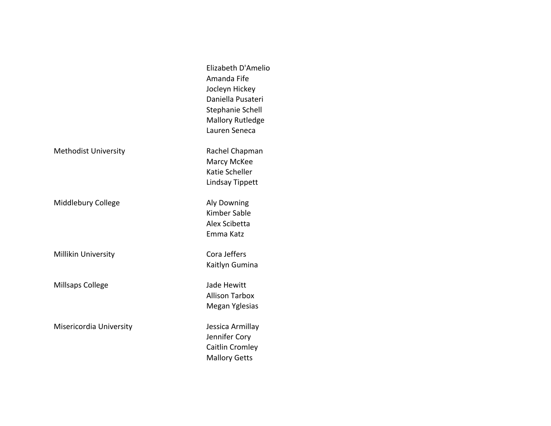|                             | Elizabeth D'Amelio<br>Amanda Fife<br>Jocleyn Hickey<br>Daniella Pusateri<br>Stephanie Schell<br><b>Mallory Rutledge</b><br>Lauren Seneca |
|-----------------------------|------------------------------------------------------------------------------------------------------------------------------------------|
| <b>Methodist University</b> | Rachel Chapman<br>Marcy McKee<br>Katie Scheller<br>Lindsay Tippett                                                                       |
| Middlebury College          | <b>Aly Downing</b><br>Kimber Sable<br>Alex Scibetta<br>Emma Katz                                                                         |
| Millikin University         | Cora Jeffers<br>Kaitlyn Gumina                                                                                                           |
| Millsaps College            | Jade Hewitt<br><b>Allison Tarbox</b><br>Megan Yglesias                                                                                   |
| Misericordia University     | Jessica Armillay<br>Jennifer Cory<br>Caitlin Cromley<br><b>Mallory Getts</b>                                                             |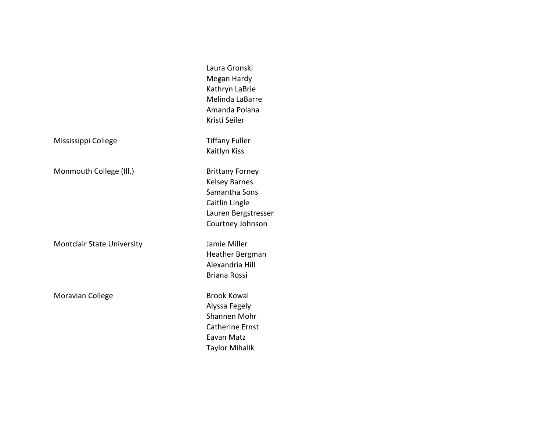|                                   | Laura Gronski<br>Megan Hardy<br>Kathryn LaBrie<br>Melinda LaBarre<br>Amanda Polaha<br>Kristi Seiler                          |
|-----------------------------------|------------------------------------------------------------------------------------------------------------------------------|
| Mississippi College               | <b>Tiffany Fuller</b><br>Kaitlyn Kiss                                                                                        |
| Monmouth College (Ill.)           | <b>Brittany Forney</b><br><b>Kelsey Barnes</b><br>Samantha Sons<br>Caitlin Lingle<br>Lauren Bergstresser<br>Courtney Johnson |
| <b>Montclair State University</b> | Jamie Miller<br>Heather Bergman<br>Alexandria Hill<br><b>Briana Rossi</b>                                                    |
| Moravian College                  | <b>Brook Kowal</b><br>Alyssa Fegely<br>Shannen Mohr<br><b>Catherine Ernst</b><br>Eavan Matz<br><b>Taylor Mihalik</b>         |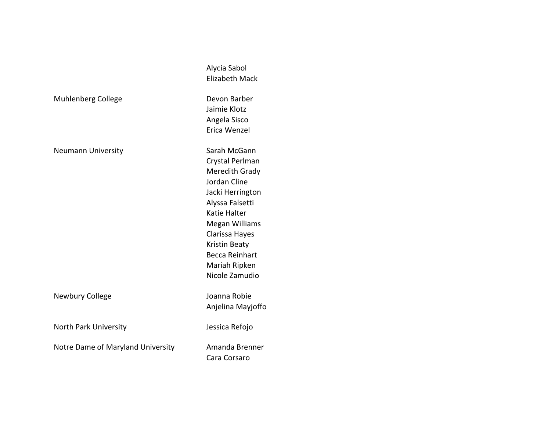|                                   | Alycia Sabol<br><b>Elizabeth Mack</b>                                                                                                                                                                                                     |
|-----------------------------------|-------------------------------------------------------------------------------------------------------------------------------------------------------------------------------------------------------------------------------------------|
| <b>Muhlenberg College</b>         | Devon Barber<br>Jaimie Klotz<br>Angela Sisco<br>Erica Wenzel                                                                                                                                                                              |
| <b>Neumann University</b>         | Sarah McGann<br>Crystal Perlman<br>Meredith Grady<br>Jordan Cline<br>Jacki Herrington<br>Alyssa Falsetti<br>Katie Halter<br>Megan Williams<br>Clarissa Hayes<br>Kristin Beaty<br><b>Becca Reinhart</b><br>Mariah Ripken<br>Nicole Zamudio |
| Newbury College                   | Joanna Robie<br>Anjelina Mayjoffo                                                                                                                                                                                                         |
| North Park University             | Jessica Refojo                                                                                                                                                                                                                            |
| Notre Dame of Maryland University | Amanda Brenner<br>Cara Corsaro                                                                                                                                                                                                            |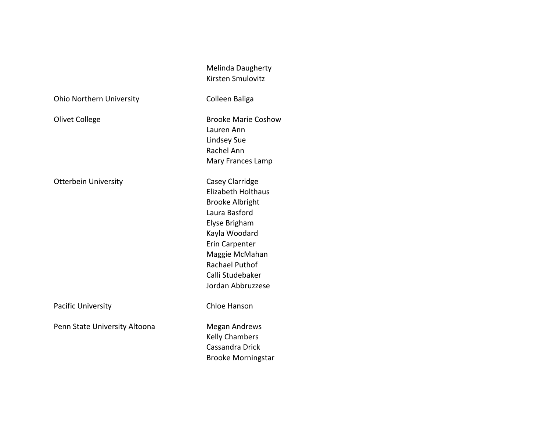Melinda Daugherty Kirsten Smulovitz

Ohio Northern University **Colleen Baliga** 

Olivet College **Brooke Marie Coshow** 

Otterbein University **Casey Clarridge** 

Pacific University **Chloe** Hanson

Penn State University Altoona Megan Andrews

Lauren Ann Lindsey Sue Rachel Ann Mary Frances Lamp

Elizabeth Holthaus Brooke Albright Laura Basford Elyse Brigham Kayla Woodard Erin Carpenter Maggie McMahan Rachael Puthof Calli Studebaker Jordan Abbruzzese

**Kelly Chambers** Cassandra Drick Brooke Morningstar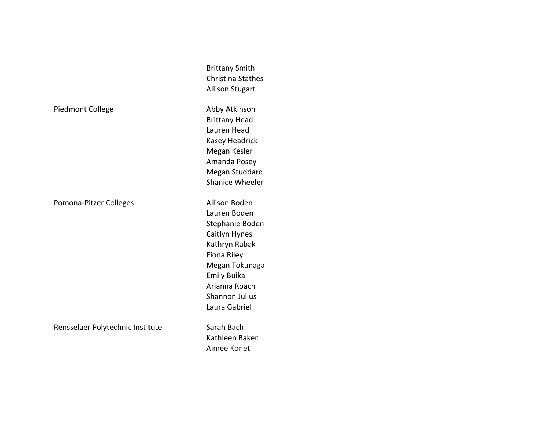|                                  | <b>Brittany Smith</b><br><b>Christina Stathes</b><br><b>Allison Stugart</b>                                                                                                                          |
|----------------------------------|------------------------------------------------------------------------------------------------------------------------------------------------------------------------------------------------------|
| <b>Piedmont College</b>          | Abby Atkinson<br><b>Brittany Head</b><br>Lauren Head<br>Kasey Headrick<br>Megan Kesler<br>Amanda Posey<br>Megan Studdard<br><b>Shanice Wheeler</b>                                                   |
| Pomona-Pitzer Colleges           | Allison Boden<br>Lauren Boden<br>Stephanie Boden<br>Caitlyn Hynes<br>Kathryn Rabak<br>Fiona Riley<br>Megan Tokunaga<br><b>Emily Buika</b><br>Arianna Roach<br><b>Shannon Julius</b><br>Laura Gabriel |
| Rensselaer Polytechnic Institute | Sarah Bach<br>Kathleen Baker<br>Aimee Konet                                                                                                                                                          |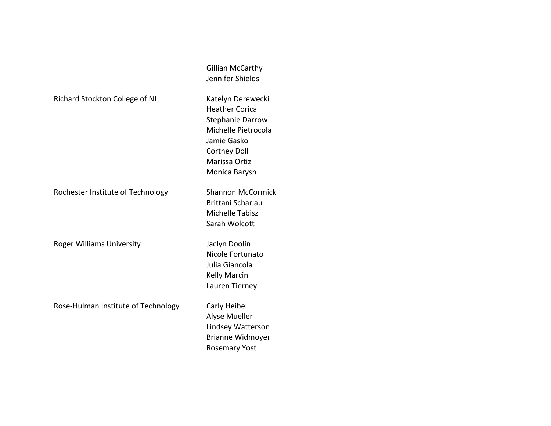|                                     | Gillian McCarthy         |
|-------------------------------------|--------------------------|
|                                     | Jennifer Shields         |
| Richard Stockton College of NJ      | Katelyn Derewecki        |
|                                     | <b>Heather Corica</b>    |
|                                     | Stephanie Darrow         |
|                                     | Michelle Pietrocola      |
|                                     | Jamie Gasko              |
|                                     | <b>Cortney Doll</b>      |
|                                     | Marissa Ortiz            |
|                                     | Monica Barysh            |
| Rochester Institute of Technology   | <b>Shannon McCormick</b> |
|                                     | Brittani Scharlau        |
|                                     | <b>Michelle Tabisz</b>   |
|                                     | Sarah Wolcott            |
| <b>Roger Williams University</b>    | Jaclyn Doolin            |
|                                     | Nicole Fortunato         |
|                                     | Julia Giancola           |
|                                     | <b>Kelly Marcin</b>      |
|                                     | Lauren Tierney           |
|                                     |                          |
| Rose-Hulman Institute of Technology | Carly Heibel             |
|                                     | Alyse Mueller            |
|                                     | Lindsey Watterson        |
|                                     | <b>Brianne Widmoyer</b>  |
|                                     | <b>Rosemary Yost</b>     |
|                                     |                          |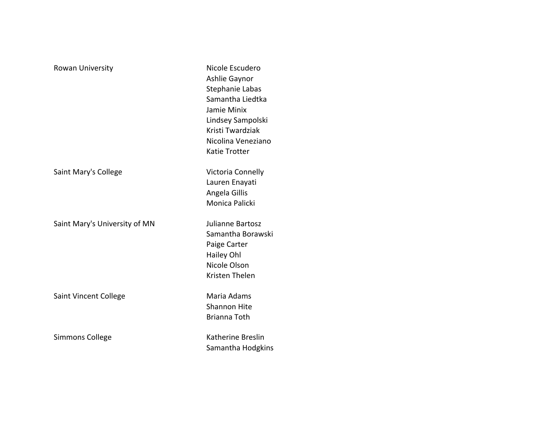| Rowan University              | Nicole Escudero<br>Ashlie Gaynor<br>Stephanie Labas<br>Samantha Liedtka<br>Jamie Minix<br>Lindsey Sampolski<br>Kristi Twardziak<br>Nicolina Veneziano<br>Katie Trotter |
|-------------------------------|------------------------------------------------------------------------------------------------------------------------------------------------------------------------|
| Saint Mary's College          | Victoria Connelly<br>Lauren Enayati<br>Angela Gillis<br>Monica Palicki                                                                                                 |
| Saint Mary's University of MN | Julianne Bartosz<br>Samantha Borawski<br>Paige Carter<br>Hailey Ohl<br>Nicole Olson<br>Kristen Thelen                                                                  |
| Saint Vincent College         | Maria Adams<br><b>Shannon Hite</b><br>Brianna Toth                                                                                                                     |
| Simmons College               | Katherine Breslin<br>Samantha Hodgkins                                                                                                                                 |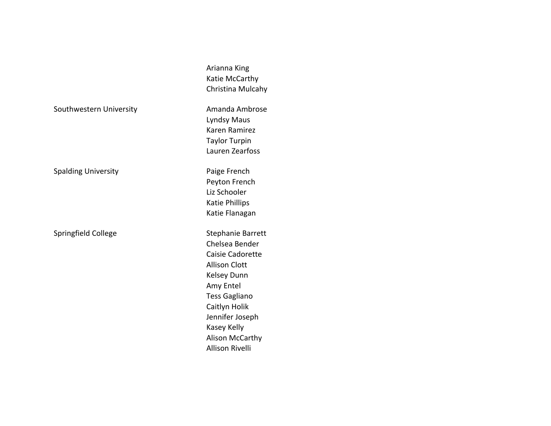Arianna King Katie McCarthy Christina Mulcahy

Lyndsy Maus Karen Ramirez Taylor Turpin Lauren Zearfoss

Spalding University **Paige French** Peyton French Liz Schooler Katie Phillips Katie Flanagan

> Chelsea Bender Caisie Cadorette **Allison Clott** Kelsey Dunn Amy Entel Tess Gagliano Caitlyn Holik Jennifer Joseph Kasey Kelly Alison McCarthy Allison Rivelli

Southwestern University **Amanda Ambrose** 

Springfield College Springfield College Stephanie Barrett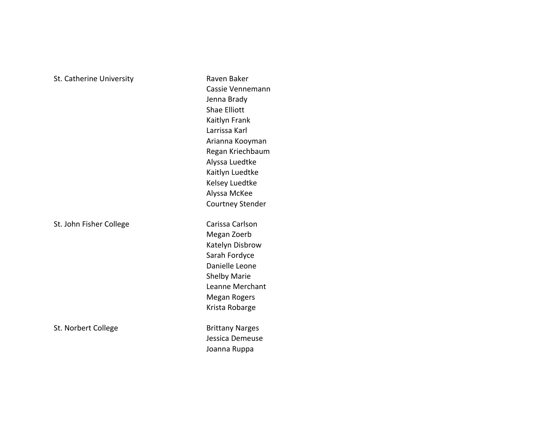## St. Catherine University **Raven Baker** Raven Baker

St. John Fisher College Carissa Carlson

St. Norbert College **Brittany Narges** Brittany Narges

Cassie Vennemann Jenna Brady Shae Elliott Kaitlyn Frank Larrissa Karl Arianna Kooyman Regan Kriechbaum Alyssa Luedtke Kaitlyn Luedtke Kelsey Luedtke Alyssa McKee Courtney Stender

Megan Zoerb Katelyn Disbrow Sarah Fordyce Danielle Leone Shelby Marie Leanne Merchant Megan Rogers Krista Robarge

Jessica Demeuse Joanna Ruppa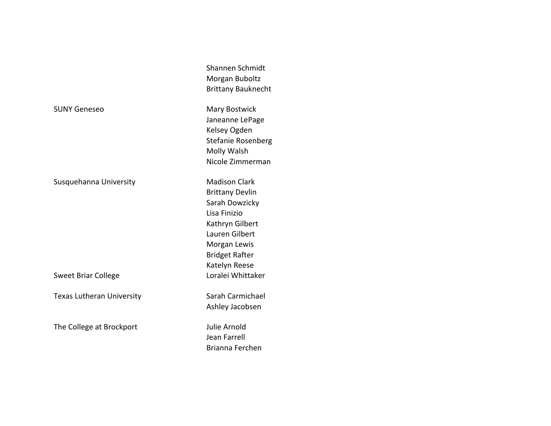Shannen Schmidt Morgan Buboltz Brittany Bauknecht

Janeanne LePage Kelsey Ogden Stefanie Rosenberg **Molly Walsh** Nicole Zimmerman

Brittany Devlin Sarah Dowzicky Lisa Finizio Kathryn Gilbert Lauren Gilbert Morgan Lewis Bridget Rafter Katelyn Reese

Ashley Jacobsen

Jean Farrell Brianna Ferchen

SUNY Geneseo Mary Bostwick

Susquehanna University **Madison Clark** 

Sweet Briar College **Sweet Brian** College **No. 1888** 

Texas Lutheran University **Sarah Carmichael** 

The College at Brockport and Julie Arnold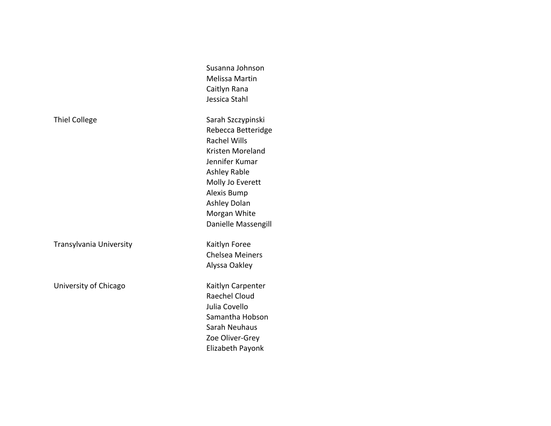|                         | Susanna Johnson        |
|-------------------------|------------------------|
|                         | <b>Melissa Martin</b>  |
|                         | Caitlyn Rana           |
|                         | Jessica Stahl          |
| <b>Thiel College</b>    | Sarah Szczypinski      |
|                         | Rebecca Betteridge     |
|                         | <b>Rachel Wills</b>    |
|                         | Kristen Moreland       |
|                         | Jennifer Kumar         |
|                         | <b>Ashley Rable</b>    |
|                         | Molly Jo Everett       |
|                         | Alexis Bump            |
|                         | <b>Ashley Dolan</b>    |
|                         | Morgan White           |
|                         | Danielle Massengill    |
| Transylvania University | Kaitlyn Foree          |
|                         | <b>Chelsea Meiners</b> |
|                         | Alyssa Oakley          |
| University of Chicago   | Kaitlyn Carpenter      |
|                         | Raechel Cloud          |
|                         | Julia Covello          |
|                         | Samantha Hobson        |
|                         | Sarah Neuhaus          |
|                         | Zoe Oliver-Grey        |
|                         | Elizabeth Payonk       |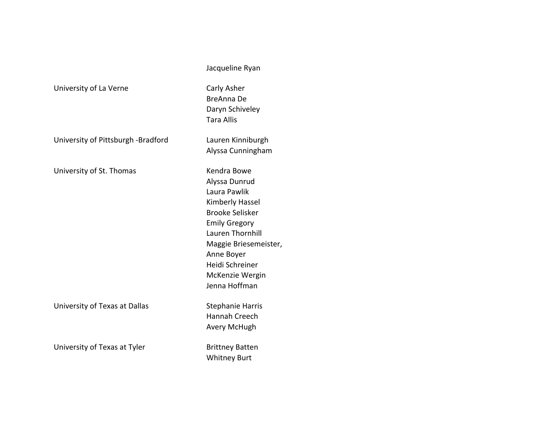|                                    | Jacqueline Ryan                                                                                                                                                                                                                            |
|------------------------------------|--------------------------------------------------------------------------------------------------------------------------------------------------------------------------------------------------------------------------------------------|
| University of La Verne             | Carly Asher<br>BreAnna De<br>Daryn Schiveley<br><b>Tara Allis</b>                                                                                                                                                                          |
| University of Pittsburgh -Bradford | Lauren Kinniburgh<br>Alyssa Cunningham                                                                                                                                                                                                     |
| University of St. Thomas           | Kendra Bowe<br>Alyssa Dunrud<br>Laura Pawlik<br>Kimberly Hassel<br><b>Brooke Selisker</b><br><b>Emily Gregory</b><br><b>Lauren Thornhill</b><br>Maggie Briesemeister,<br>Anne Boyer<br>Heidi Schreiner<br>McKenzie Wergin<br>Jenna Hoffman |
| University of Texas at Dallas      | <b>Stephanie Harris</b><br>Hannah Creech<br>Avery McHugh                                                                                                                                                                                   |
| University of Texas at Tyler       | <b>Brittney Batten</b><br><b>Whitney Burt</b>                                                                                                                                                                                              |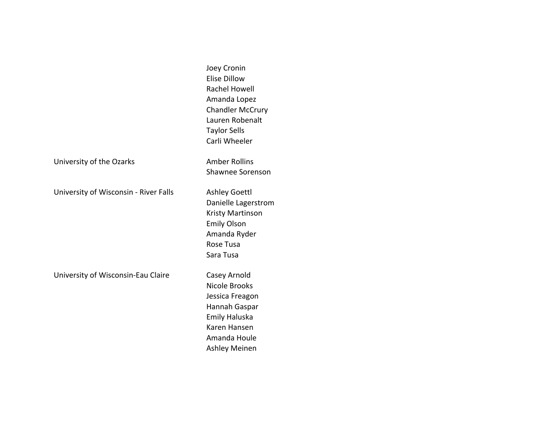Joey Cronin Elise Dillow **Rachel Howell** Amanda Lopez Chandler McCrury Lauren Robenalt Taylor Sells Carli Wheeler

University of the Ozarks **Amber Rollins** 

University of Wisconsin - River Falls Ashley Goettl

University of Wisconsin-Eau Claire Casey Arnold

Danielle Lagerstrom **Kristy Martinson** Emily Olson Amanda Ryder Rose Tusa Sara Tusa

Shawnee Sorenson

Nicole Brooks Jessica Freagon Hannah Gaspar Emily Haluska Karen Hansen Amanda Houle Ashley Meinen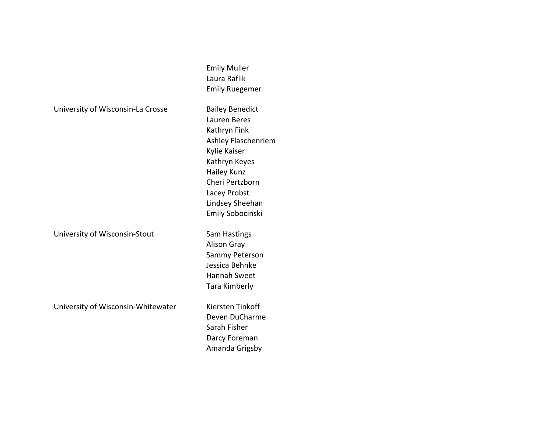|  | University of Wisconsin-La Crosse |  |
|--|-----------------------------------|--|
|--|-----------------------------------|--|

University of Wisconsin-Stout Sam Hastings

University of Wisconsin-Whitewater Kiersten Tinkoff

**Bailey Benedict** Lauren Beres Kathryn Fink Ashley Flaschenriem Kylie Kaiser Kathryn Keyes **Hailey Kunz** Cheri Pertzborn Lacey Probst Lindsey Sheehan Emily Sobocinski

Emily Muller Laura Raflik Emily Ruegemer

**Alison Gray** Sammy Peterson Jessica Behnke Hannah Sweet Tara Kimberly

Deven DuCharme Sarah Fisher Darcy Foreman Amanda Grigsby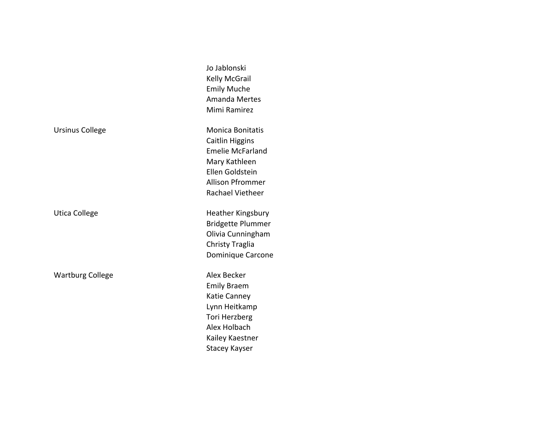|                         | Jo Jablonski<br><b>Kelly McGrail</b><br><b>Emily Muche</b><br><b>Amanda Mertes</b><br>Mimi Ramirez                                                              |
|-------------------------|-----------------------------------------------------------------------------------------------------------------------------------------------------------------|
| <b>Ursinus College</b>  | <b>Monica Bonitatis</b><br>Caitlin Higgins<br><b>Emelie McFarland</b><br>Mary Kathleen<br>Ellen Goldstein<br><b>Allison Pfrommer</b><br><b>Rachael Vietheer</b> |
| Utica College           | <b>Heather Kingsbury</b><br><b>Bridgette Plummer</b><br>Olivia Cunningham<br>Christy Traglia<br>Dominique Carcone                                               |
| <b>Wartburg College</b> | Alex Becker<br><b>Emily Braem</b><br>Katie Canney<br>Lynn Heitkamp<br>Tori Herzberg<br>Alex Holbach<br>Kailey Kaestner<br><b>Stacey Kayser</b>                  |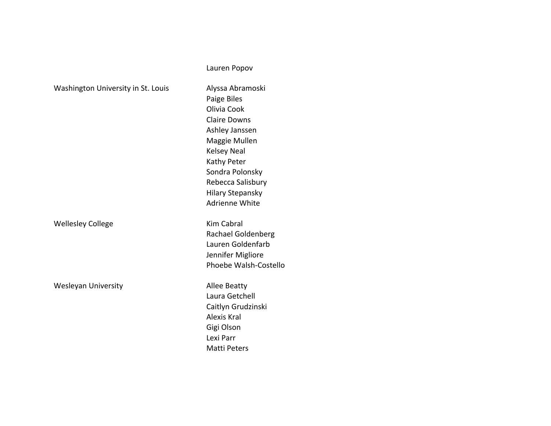|                                    | Lauren Popov                                                                                                                                                                                                                       |
|------------------------------------|------------------------------------------------------------------------------------------------------------------------------------------------------------------------------------------------------------------------------------|
| Washington University in St. Louis | Alyssa Abramoski<br>Paige Biles<br>Olivia Cook<br><b>Claire Downs</b><br>Ashley Janssen<br>Maggie Mullen<br><b>Kelsey Neal</b><br>Kathy Peter<br>Sondra Polonsky<br>Rebecca Salisbury<br><b>Hilary Stepansky</b><br>Adrienne White |
| <b>Wellesley College</b>           | <b>Kim Cabral</b><br>Rachael Goldenberg<br>Lauren Goldenfarb<br>Jennifer Migliore<br>Phoebe Walsh-Costello                                                                                                                         |
| <b>Wesleyan University</b>         | <b>Allee Beatty</b><br>Laura Getchell<br>Caitlyn Grudzinski<br>Alexis Kral<br>Gigi Olson<br>Lexi Parr<br><b>Matti Peters</b>                                                                                                       |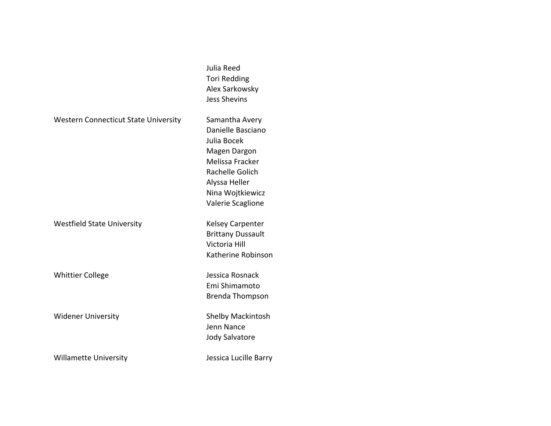|                                             | Julia Reed<br><b>Tori Redding</b><br>Alex Sarkowsky<br><b>Jess Shevins</b>                                                                                         |
|---------------------------------------------|--------------------------------------------------------------------------------------------------------------------------------------------------------------------|
| <b>Western Connecticut State University</b> | Samantha Avery<br>Danielle Basciano<br>Julia Bocek<br>Magen Dargon<br>Melissa Fracker<br>Rachelle Golich<br>Alyssa Heller<br>Nina Wojtkiewicz<br>Valerie Scaglione |
| <b>Westfield State University</b>           | <b>Kelsey Carpenter</b><br><b>Brittany Dussault</b><br>Victoria Hill<br>Katherine Robinson                                                                         |
| <b>Whittier College</b>                     | Jessica Rosnack<br>Emi Shimamoto<br>Brenda Thompson                                                                                                                |
| <b>Widener University</b>                   | Shelby Mackintosh<br>Jenn Nance<br>Jody Salvatore                                                                                                                  |
| <b>Willamette University</b>                | Jessica Lucille Barry                                                                                                                                              |